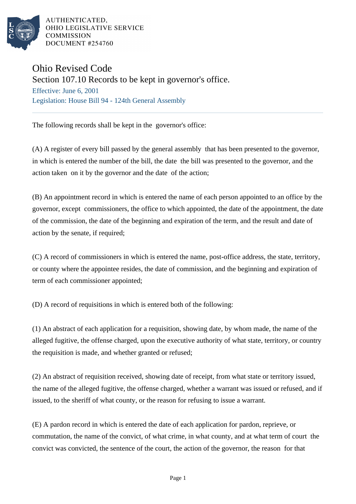

AUTHENTICATED, OHIO LEGISLATIVE SERVICE **COMMISSION** DOCUMENT #254760

## Ohio Revised Code

Section 107.10 Records to be kept in governor's office.

Effective: June 6, 2001 Legislation: House Bill 94 - 124th General Assembly

The following records shall be kept in the governor's office:

(A) A register of every bill passed by the general assembly that has been presented to the governor, in which is entered the number of the bill, the date the bill was presented to the governor, and the action taken on it by the governor and the date of the action;

(B) An appointment record in which is entered the name of each person appointed to an office by the governor, except commissioners, the office to which appointed, the date of the appointment, the date of the commission, the date of the beginning and expiration of the term, and the result and date of action by the senate, if required;

(C) A record of commissioners in which is entered the name, post-office address, the state, territory, or county where the appointee resides, the date of commission, and the beginning and expiration of term of each commissioner appointed;

(D) A record of requisitions in which is entered both of the following:

(1) An abstract of each application for a requisition, showing date, by whom made, the name of the alleged fugitive, the offense charged, upon the executive authority of what state, territory, or country the requisition is made, and whether granted or refused;

(2) An abstract of requisition received, showing date of receipt, from what state or territory issued, the name of the alleged fugitive, the offense charged, whether a warrant was issued or refused, and if issued, to the sheriff of what county, or the reason for refusing to issue a warrant.

(E) A pardon record in which is entered the date of each application for pardon, reprieve, or commutation, the name of the convict, of what crime, in what county, and at what term of court the convict was convicted, the sentence of the court, the action of the governor, the reason for that